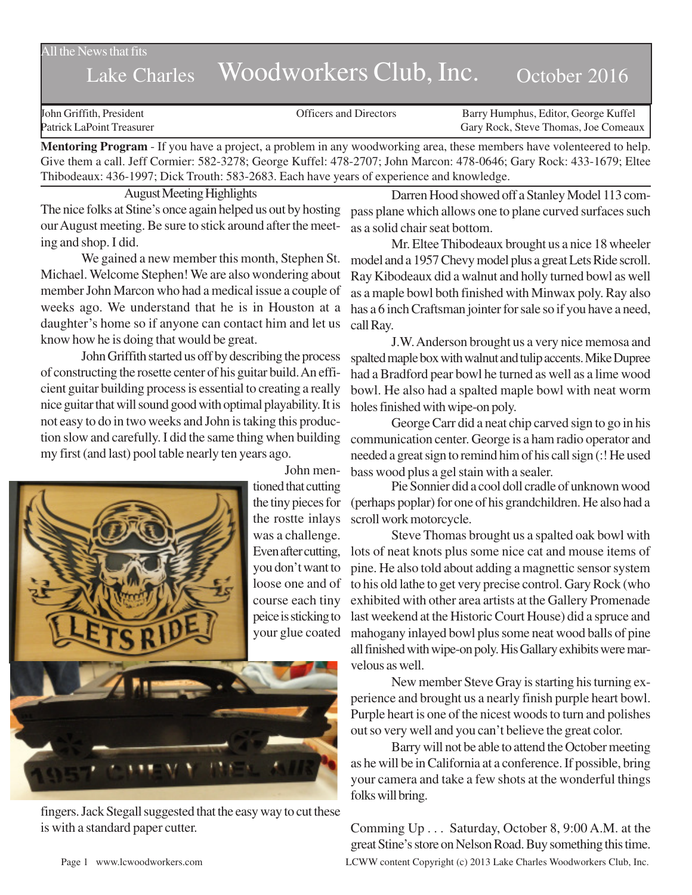All the News that fits

## Lake Charles Woodworkers Club, Inc. October 2016

| John Griffith, President  | Officers and Directors | Barry Humphus, Editor, George Kuffel |
|---------------------------|------------------------|--------------------------------------|
| Patrick LaPoint Treasurer |                        | Gary Rock, Steve Thomas, Joe Comeaux |
|                           |                        |                                      |

**Mentoring Program** - If you have a project, a problem in any woodworking area, these members have volenteered to help. Give them a call. Jeff Cormier: 582-3278; George Kuffel: 478-2707; John Marcon: 478-0646; Gary Rock: 433-1679; Eltee Thibodeaux: 436-1997; Dick Trouth: 583-2683. Each have years of experience and knowledge.

August Meeting Highlights The nice folks at Stine's once again helped us out by hosting our August meeting. Be sure to stick around after the meeting and shop. I did.

We gained a new member this month, Stephen St. Michael. Welcome Stephen! We are also wondering about member John Marcon who had a medical issue a couple of weeks ago. We understand that he is in Houston at a daughter's home so if anyone can contact him and let us know how he is doing that would be great.

John Griffith started us off by describing the process of constructing the rosette center of his guitar build. An efficient guitar building process is essential to creating a really nice guitar that will sound good with optimal playability. It is not easy to do in two weeks and John is taking this production slow and carefully. I did the same thing when building my first (and last) pool table nearly ten years ago.



fingers. Jack Stegall suggested that the easy way to cut these is with a standard paper cutter.

Darren Hood showed off a Stanley Model 113 compass plane which allows one to plane curved surfaces such as a solid chair seat bottom.

Mr. Eltee Thibodeaux brought us a nice 18 wheeler model and a 1957 Chevy model plus a great Lets Ride scroll. Ray Kibodeaux did a walnut and holly turned bowl as well as a maple bowl both finished with Minwax poly. Ray also has a 6 inch Craftsman jointer for sale so if you have a need, call Ray.

J.W. Anderson brought us a very nice memosa and spalted maple box with walnut and tulip accents. Mike Dupree had a Bradford pear bowl he turned as well as a lime wood bowl. He also had a spalted maple bowl with neat worm holes finished with wipe-on poly.

George Carr did a neat chip carved sign to go in his communication center. George is a ham radio operator and needed a great sign to remind him of his call sign (:! He used bass wood plus a gel stain with a sealer.

Pie Sonnier did a cool doll cradle of unknown wood (perhaps poplar) for one of his grandchildren. He also had a scroll work motorcycle.

Steve Thomas brought us a spalted oak bowl with lots of neat knots plus some nice cat and mouse items of pine. He also told about adding a magnettic sensor system to his old lathe to get very precise control. Gary Rock (who exhibited with other area artists at the Gallery Promenade last weekend at the Historic Court House) did a spruce and mahogany inlayed bowl plus some neat wood balls of pine all finished with wipe-on poly. His Gallary exhibits were marvelous as well.

New member Steve Gray is starting his turning experience and brought us a nearly finish purple heart bowl. Purple heart is one of the nicest woods to turn and polishes out so very well and you can't believe the great color.

Barry will not be able to attend the October meeting as he will be in California at a conference. If possible, bring your camera and take a few shots at the wonderful things folks will bring.

Page 1 www.lcwoodworkers.com LCWW content Copyright (c) 2013 Lake Charles Woodworkers Club, Inc. Comming Up . . . Saturday, October 8, 9:00 A.M. at the great Stine's store on Nelson Road. Buy something this time.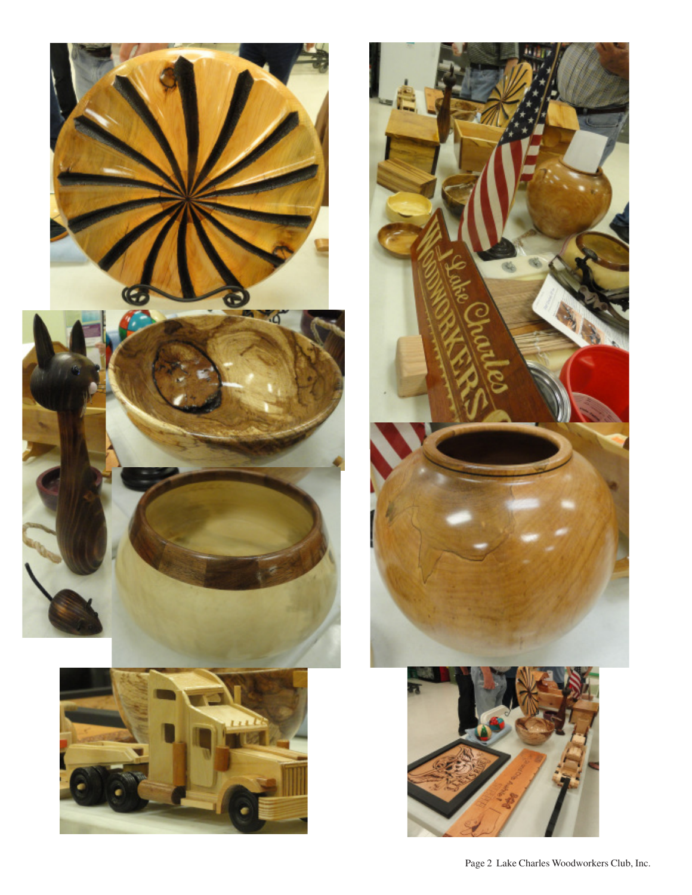







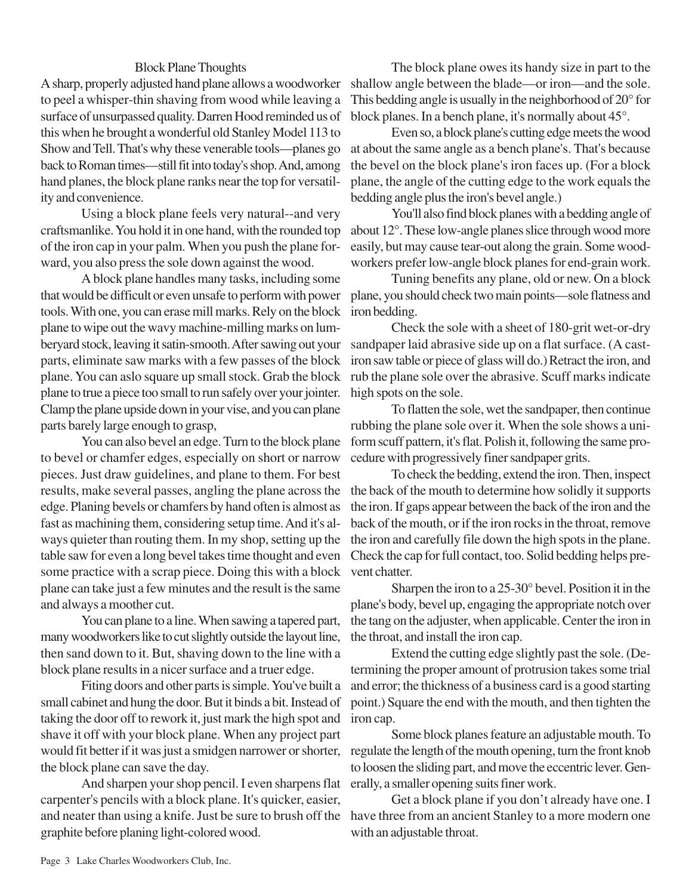## Block Plane Thoughts

A sharp, properly adjusted hand plane allows a woodworker to peel a whisper-thin shaving from wood while leaving a surface of unsurpassed quality. Darren Hood reminded us of this when he brought a wonderful old Stanley Model 113 to Show and Tell. That's why these venerable tools—planes go back to Roman times—still fit into today's shop. And, among hand planes, the block plane ranks near the top for versatility and convenience.

Using a block plane feels very natural--and very craftsmanlike. You hold it in one hand, with the rounded top of the iron cap in your palm. When you push the plane forward, you also press the sole down against the wood.

A block plane handles many tasks, including some that would be difficult or even unsafe to perform with power tools. With one, you can erase mill marks. Rely on the block plane to wipe out the wavy machine-milling marks on lumberyard stock, leaving it satin-smooth. After sawing out your parts, eliminate saw marks with a few passes of the block plane. You can aslo square up small stock. Grab the block plane to true a piece too small to run safely over your jointer. Clamp the plane upside down in your vise, and you can plane parts barely large enough to grasp,

You can also bevel an edge. Turn to the block plane to bevel or chamfer edges, especially on short or narrow pieces. Just draw guidelines, and plane to them. For best results, make several passes, angling the plane across the edge. Planing bevels or chamfers by hand often is almost as fast as machining them, considering setup time. And it's always quieter than routing them. In my shop, setting up the table saw for even a long bevel takes time thought and even some practice with a scrap piece. Doing this with a block plane can take just a few minutes and the result is the same and always a moother cut.

You can plane to a line. When sawing a tapered part, many woodworkers like to cut slightly outside the layout line, then sand down to it. But, shaving down to the line with a block plane results in a nicer surface and a truer edge.

Fiting doors and other parts is simple. You've built a small cabinet and hung the door. But it binds a bit. Instead of taking the door off to rework it, just mark the high spot and shave it off with your block plane. When any project part would fit better if it was just a smidgen narrower or shorter, the block plane can save the day.

And sharpen your shop pencil. I even sharpens flat carpenter's pencils with a block plane. It's quicker, easier, and neater than using a knife. Just be sure to brush off the have three from an ancient Stanley to a more modern one graphite before planing light-colored wood.

The block plane owes its handy size in part to the shallow angle between the blade—or iron—and the sole. This bedding angle is usually in the neighborhood of 20° for block planes. In a bench plane, it's normally about 45°.

Even so, a block plane's cutting edge meets the wood at about the same angle as a bench plane's. That's because the bevel on the block plane's iron faces up. (For a block plane, the angle of the cutting edge to the work equals the bedding angle plus the iron's bevel angle.)

You'll also find block planes with a bedding angle of about 12°. These low-angle planes slice through wood more easily, but may cause tear-out along the grain. Some woodworkers prefer low-angle block planes for end-grain work.

Tuning benefits any plane, old or new. On a block plane, you should check two main points—sole flatness and iron bedding.

Check the sole with a sheet of 180-grit wet-or-dry sandpaper laid abrasive side up on a flat surface. (A castiron saw table or piece of glass will do.) Retract the iron, and rub the plane sole over the abrasive. Scuff marks indicate high spots on the sole.

To flatten the sole, wet the sandpaper, then continue rubbing the plane sole over it. When the sole shows a uniform scuff pattern, it's flat. Polish it, following the same procedure with progressively finer sandpaper grits.

To check the bedding, extend the iron. Then, inspect the back of the mouth to determine how solidly it supports the iron. If gaps appear between the back of the iron and the back of the mouth, or if the iron rocks in the throat, remove the iron and carefully file down the high spots in the plane. Check the cap for full contact, too. Solid bedding helps prevent chatter.

Sharpen the iron to a 25-30° bevel. Position it in the plane's body, bevel up, engaging the appropriate notch over the tang on the adjuster, when applicable. Center the iron in the throat, and install the iron cap.

Extend the cutting edge slightly past the sole. (Determining the proper amount of protrusion takes some trial and error; the thickness of a business card is a good starting point.) Square the end with the mouth, and then tighten the iron cap.

Some block planes feature an adjustable mouth. To regulate the length of the mouth opening, turn the front knob to loosen the sliding part, and move the eccentric lever. Generally, a smaller opening suits finer work.

Get a block plane if you don't already have one. I with an adjustable throat.